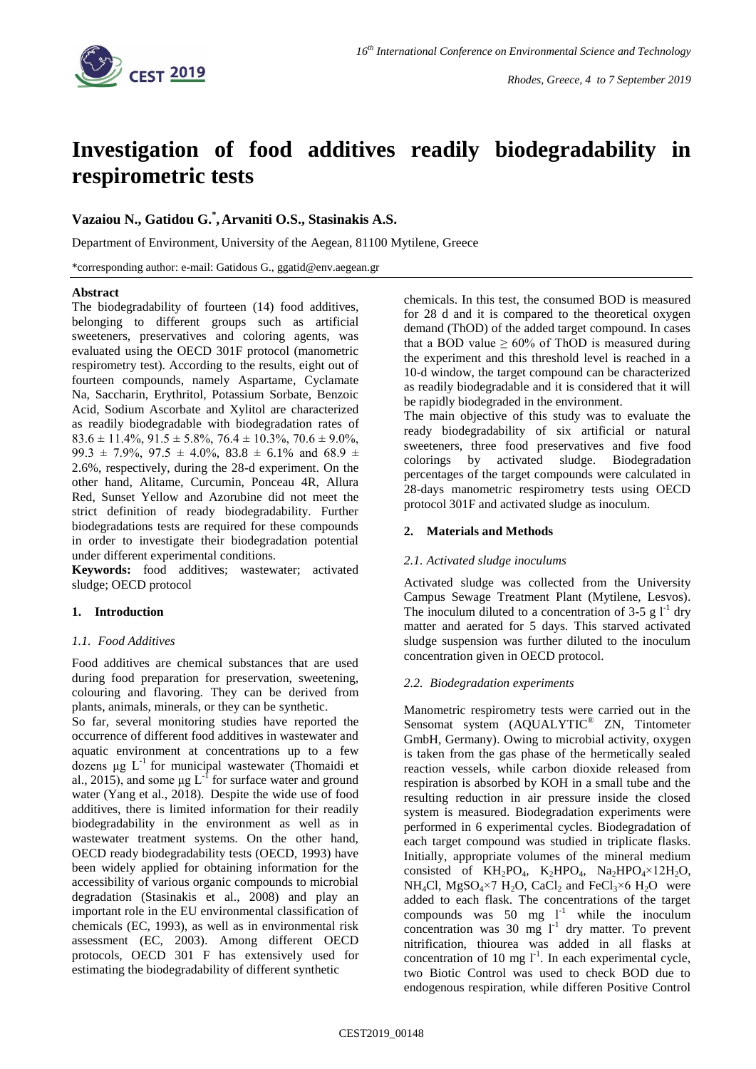

# **Investigation of food additives readily biodegradability in respirometric tests**

## **Vazaiou N., Gatidou G.\* ,Arvaniti O.S., Stasinakis A.S.**

Department of Environment, University of the Aegean, 81100 Mytilene, Greece

\*corresponding author: e-mail: Gatidous G., ggatid@env.aegean.gr

## **Abstract**

The biodegradability of fourteen (14) food additives, belonging to different groups such as artificial sweeteners, preservatives and coloring agents, was evaluated using the OECD 301F protocol (manometric respirometry test). According to the results, eight out of fourteen compounds, namely Aspartame, Cyclamate Na, Saccharin, Erythritol, Potassium Sorbate, Benzoic Acid, Sodium Ascorbate and Xylitol are characterized as readily biodegradable with biodegradation rates of  $83.6 \pm 11.4\%$ ,  $91.5 \pm 5.8\%$ ,  $76.4 \pm 10.3\%$ ,  $70.6 \pm 9.0\%$ , 99.3  $\pm$  7.9%, 97.5  $\pm$  4.0%, 83.8  $\pm$  6.1% and 68.9  $\pm$ 2.6%, respectively, during the 28-d experiment. On the other hand, Alitame, Curcumin, Ponceau 4R, Allura Red, Sunset Yellow and Azorubine did not meet the strict definition of ready biodegradability. Further biodegradations tests are required for these compounds in order to investigate their biodegradation potential under different experimental conditions.

**Keywords:** food additives; wastewater; activated sludge; OECD protocol

## **1. Introduction**

## *1.1. Food Additives*

Food additives are chemical substances that are used during food preparation for preservation, sweetening, colouring and flavoring. They can be derived from plants, animals, minerals, or they can be synthetic.

So far, several monitoring studies have reported the occurrence of different food additives in wastewater and aquatic environment at concentrations up to a few dozens μg L-1 for municipal wastewater (Thomaidi et al., 2015), and some  $\mu$ g L<sup>-f</sup> for surface water and ground water (Yang et al., 2018). Despite the wide use of food additives, there is limited information for their readily biodegradability in the environment as well as in wastewater treatment systems. On the other hand, OECD ready biodegradability tests (OECD, 1993) have been widely applied for obtaining information for the accessibility of various organic compounds to microbial degradation (Stasinakis et al., 2008) and play an important role in the EU environmental classification of chemicals (EC, 1993), as well as in environmental risk assessment (EC, 2003). Among different OECD protocols, OECD 301 F has extensively used for estimating the biodegradability of different synthetic

chemicals. In this test, the consumed BOD is measured for 28 d and it is compared to the theoretical oxygen demand (ThOD) of the added target compound. In cases that a BOD value  $\geq 60\%$  of ThOD is measured during the experiment and this threshold level is reached in a 10-d window, the target compound can be characterized as readily biodegradable and it is considered that it will be rapidly biodegraded in the environment.

The main objective of this study was to evaluate the ready biodegradability of six artificial or natural sweeteners, three food preservatives and five food colorings by activated sludge. Biodegradation percentages of the target compounds were calculated in 28-days manometric respirometry tests using OECD protocol 301F and activated sludge as inoculum.

## **2. Materials and Methods**

## *2.1. Activated sludge inoculums*

Activated sludge was collected from the University Campus Sewage Treatment Plant (Mytilene, Lesvos). The inoculum diluted to a concentration of 3-5 g  $1^{-1}$  dry matter and aerated for 5 days. This starved activated sludge suspension was further diluted to the inoculum concentration given in OECD protocol.

## *2.2. Biodegradation experiments*

Manometric respirometry tests were carried out in the Sensomat system (AQUALYTIC® ZN, Tintometer GmbH, Germany). Owing to microbial activity, oxygen is taken from the gas phase of the hermetically sealed reaction vessels, while carbon dioxide released from respiration is absorbed by KOH in a small tube and the resulting reduction in air pressure inside the closed system is measured. Biodegradation experiments were performed in 6 experimental cycles. Biodegradation of each target compound was studied in triplicate flasks. Initially, appropriate volumes of the mineral medium consisted of  $KH_2PO_4$ ,  $K_2HPO_4$ ,  $Na_2HPO_4 \times 12H_2O$ , NH<sub>4</sub>Cl, MgSO<sub>4</sub>×7 H<sub>2</sub>O, CaCl<sub>2</sub> and FeCl<sub>3</sub>×6 H<sub>2</sub>O were added to each flask. The concentrations of the target compounds was 50 mg  $1^{-1}$  while the inoculum concentration was  $30 \text{ mg} l^{-1}$  dry matter. To prevent nitrification, thiourea was added in all flasks at concentration of 10 mg  $I<sup>-1</sup>$ . In each experimental cycle, two Biotic Control was used to check BOD due to endogenous respiration, while differen Positive Control